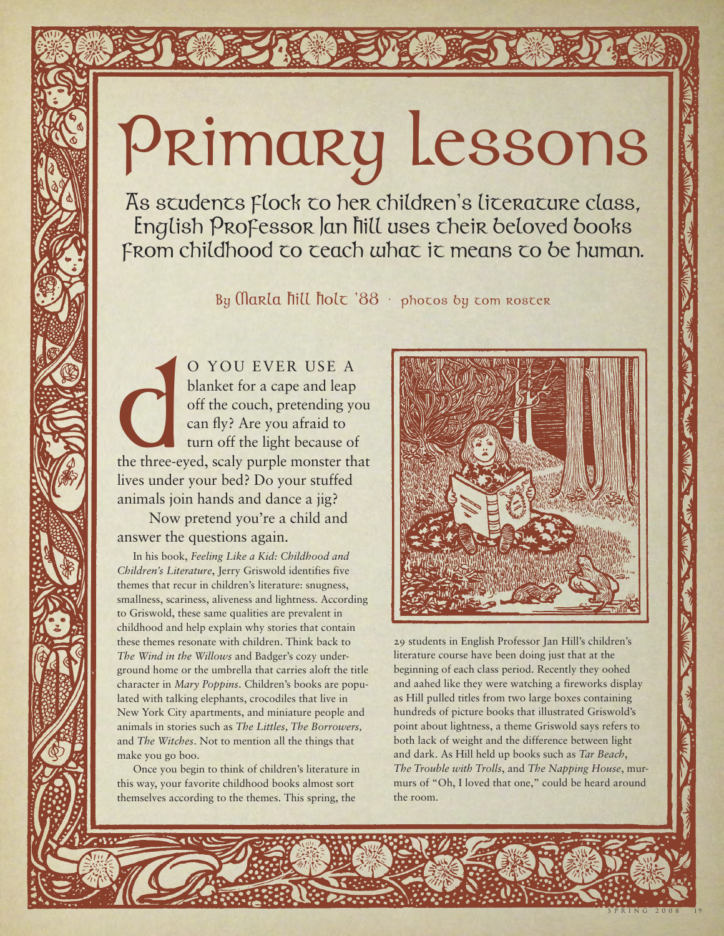## Primary Lessons

as students flock to her children 's literature class, English Professor Jan Hill uses their beloved books From childhood to teach what it means to be human.

By Marla *fiill fiolt*  $88 \cdot$  photos by tom roster

the three-c O YOU EVER USE A blanket for a cape and leap off the couch, pretending you can fly? Are you afraid to turn off the light because of the three-eyed, scaly purple monster that lives under your bed? Do your stuffed animals join hands and dance a jig?

Now pretend you're a child and answer the questions again.

In his book, *Feeling Like a Kid: Childhood and Children's Literature*, Jerry Griswold identifies five themes that recur in children's literature: snugness, smallness, scariness, aliveness and lightness. According to Griswold, these same qualities are prevalent in childhood and help explain why stories that contain these themes resonate with children. Think back to *The Wind in the Willows* and Badger's cozy underground home or the umbrella that carries aloft the title character in *Mary Poppins*. Children's books are populated with talking elephants, crocodiles that live in New York City apartments, and miniature people and animals in stories such as *The Littles, The Borrowers,* and *The Witches*. Not to mention all the things that make you go boo.

Once you begin to think of children's literature in this way, your favorite childhood books almost sort themselves according to the themes. This spring, the



29 students in English Professor Jan Hill's children's literature course have been doing just that at the beginning of each class period. Recently they oohed and aahed like they were watching a fireworks display as Hill pulled titles from two large boxes containing hundreds of picture books that illustrated Griswold's point about lightness, a theme Griswold says refers to both lack of weight and the difference between light and dark. As Hill held up books such as *Tar Beach*, *The Trouble with Trolls*, and *The Napping House*, murmurs of "Oh, I loved that one," could be heard around the room.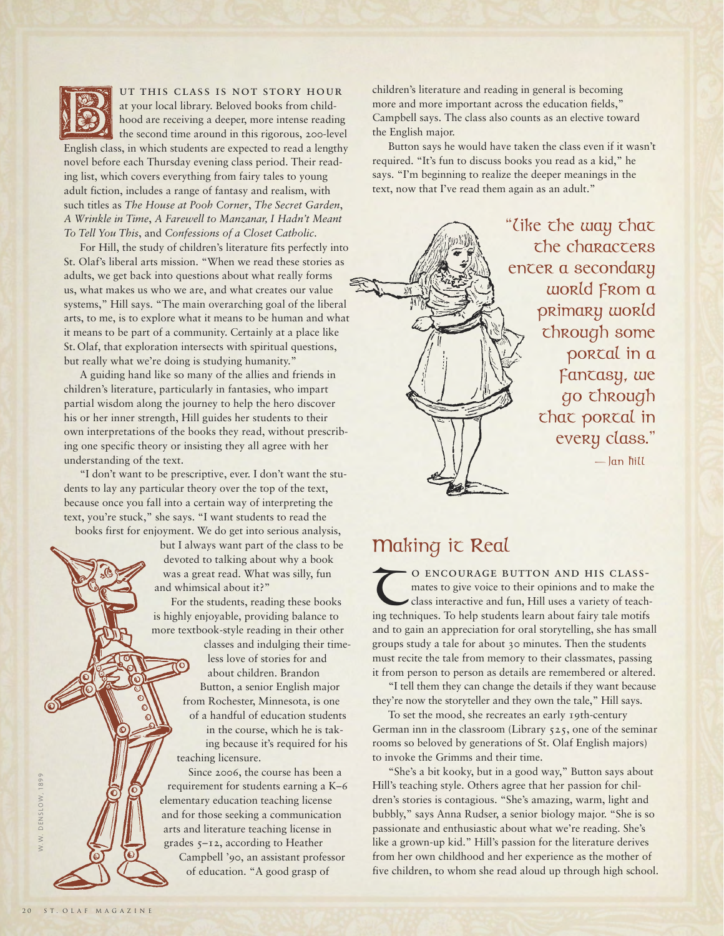

## ut this class is not story hour

at your local library. Beloved books from childhood are receiving a deeper, more intense reading the second time around in this rigorous, 200-level English class, in which students are expected to read a lengthy novel before each Thursday evening class period. Their reading list, which covers everything from fairy tales to young adult fiction, includes a range of fantasy and realism, with such titles as *The House at Pooh Corner*, *The Secret Garden*, *A Wrinkle in Time*, *A Farewell to Manzanar, I Hadn't Meant To Tell You This*, and *Confessions of a Closet Catholic*.

For Hill, the study of children's literature fits perfectly into St. Olaf's liberal arts mission. "When we read these stories as adults, we get back into questions about what really forms us, what makes us who we are, and what creates our value systems," Hill says. "The main overarching goal of the liberal arts, to me, is to explore what it means to be human and what it means to be part of a community. Certainly at a place like St. Olaf, that exploration intersects with spiritual questions, but really what we're doing is studying humanity."

A guiding hand like so many of the allies and friends in children's literature, particularly in fantasies, who impart partial wisdom along the journey to help the hero discover his or her inner strength, Hill guides her students to their own interpretations of the books they read, without prescribing one specific theory or insisting they all agree with her understanding of the text.

"I don't want to be prescriptive, ever. I don't want the students to lay any particular theory over the top of the text, because once you fall into a certain way of interpreting the text, you're stuck," she says. "I want students to read the books first for enjoyment. We do get into serious analysis,

but I always want part of the class to be devoted to talking about why a book was a great read. What was silly, fun and whimsical about it?"

For the students, reading these books is highly enjoyable, providing balance to more textbook-style reading in their other

classes and indulging their timeless love of stories for and about children. Brandon Button, a senior English major from Rochester, Minnesota, is one of a handful of education students in the course, which he is taking because it's required for his teaching licensure.

Since 2006, the course has been a requirement for students earning a K–6 elementary education teaching license and for those seeking a communication arts and literature teaching license in grades 5–12, according to Heather

Campbell '90, an assistant professor of education. "A good grasp of

children's literature and reading in general is becoming more and more important across the education fields," Campbell says. The class also counts as an elective toward the English major.

Button says he would have taken the class even if it wasn't required. "It's fun to discuss books you read as a kid," he says. "I'm beginning to realize the deeper meanings in the text, now that I've read them again as an adult."



"Like the way that the characters enter a secondary world from a primary world through some portal in a fantasy, we go through that portal in every class."

— Jan Hill

## Making it Real

O ENCOURAGE BUTTON AND HIS CLASS-<br>mates to give voice to their opinions and to make the class interactive and fun, Hill uses a variety of teaching techniques. To help students learn about fairy tale motifs mates to give voice to their opinions and to make the class interactive and fun, Hill uses a variety of teachand to gain an appreciation for oral storytelling, she has small groups study a tale for about 30 minutes. Then the students must recite the tale from memory to their classmates, passing it from person to person as details are remembered or altered.

"I tell them they can change the details if they want because they're now the storyteller and they own the tale," Hill says.

To set the mood, she recreates an early 19th-century German inn in the classroom (Library 525, one of the seminar rooms so beloved by generations of St. Olaf English majors) to invoke the Grimms and their time.

"She's a bit kooky, but in a good way," Button says about Hill's teaching style. Others agree that her passion for children's stories is contagious. "She's amazing, warm, light and bubbly," says Anna Rudser, a senior biology major. "She is so passionate and enthusiastic about what we're reading. She's like a grown-up kid." Hill's passion for the literature derives from her own childhood and her experience as the mother of five children, to whom she read aloud up through high school.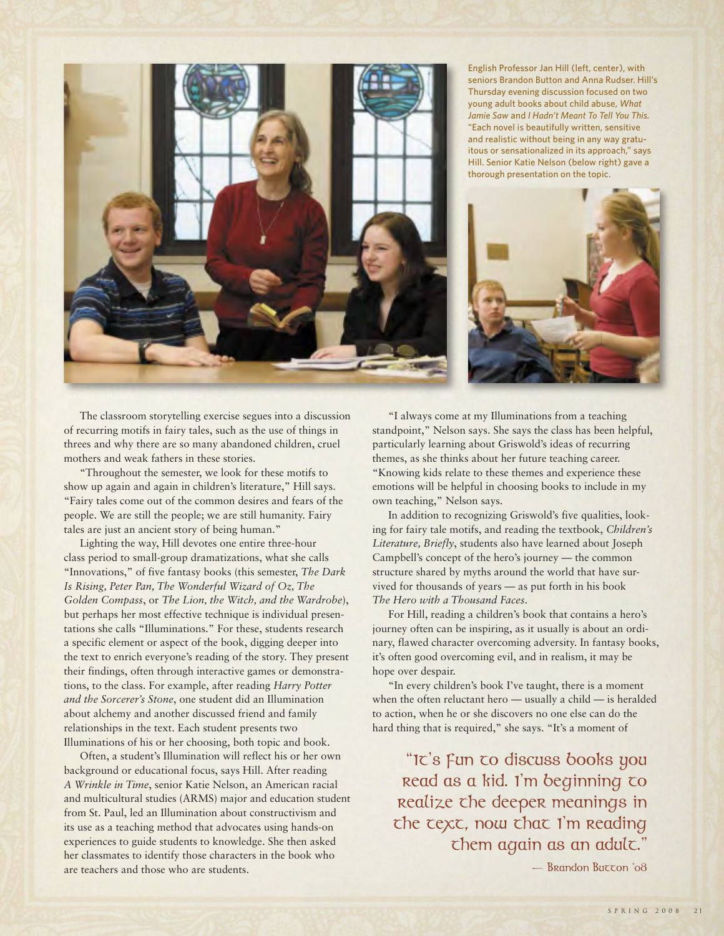

English Professor Jan Hill (left, center), with seniors Brandon Button and Anna Rudser. Hill's Thursday evening discussion focused on two young adult books about child abuse, *What Jamie Saw* and *I Hadn't Meant To Tell You This.* "Each novel is beautifully written, sensitive and realistic without being in any way gratuitous or sensationalized in its approach," says Hill. Senior Katie Nelson (below right) gave a thorough presentation on the topic.



The classroom storytelling exercise segues into a discussion of recurring motifs in fairy tales, such as the use of things in threes and why there are so many abandoned children, cruel mothers and weak fathers in these stories.

"Throughout the semester, we look for these motifs to show up again and again in children's literature," Hill says. "Fairy tales come out of the common desires and fears of the people. We are still the people; we are still humanity. Fairy tales are just an ancient story of being human."

Lighting the way, Hill devotes one entire three-hour class period to small-group dramatizations, what she calls "Innovations," of five fantasy books (this semester, *The Dark Is Rising, Peter Pan, The Wonderful Wizard of Oz, The Golden Compass*, or *The Lion, the Witch, and the Wardrobe*), but perhaps her most effective technique is individual presentations she calls "Illuminations." For these, students research a specific element or aspect of the book, digging deeper into the text to enrich everyone's reading of the story. They present their findings, often through interactive games or demonstrations, to the class. For example, after reading *Harry Potter and the Sorcerer's Stone*, one student did an Illumination about alchemy and another discussed friend and family relationships in the text. Each student presents two Illuminations of his or her choosing, both topic and book.

Often, a student's Illumination will reflect his or her own background or educational focus, says Hill. After reading *A Wrinkle in Time*, senior Katie Nelson, an American racial and multicultural studies (ARMS) major and education student from St. Paul, led an Illumination about constructivism and its use as a teaching method that advocates using hands-on experiences to guide students to knowledge. She then asked her classmates to identify those characters in the book who are teachers and those who are students.

"I always come at my Illuminations from a teaching standpoint," Nelson says. She says the class has been helpful, particularly learning about Griswold's ideas of recurring themes, as she thinks about her future teaching career. "Knowing kids relate to these themes and experience these emotions will be helpful in choosing books to include in my own teaching," Nelson says.

In addition to recognizing Griswold's five qualities, looking for fairy tale motifs, and reading the textbook, *Children's Literature, Briefly*, students also have learned about Joseph Campbell's concept of the hero's journey — the common structure shared by myths around the world that have survived for thousands of years — as put forth in his book *The Hero with a Thousand Faces*.

For Hill, reading a children's book that contains a hero's journey often can be inspiring, as it usually is about an ordinary, flawed character overcoming adversity. In fantasy books, it's often good overcoming evil, and in realism, it may be hope over despair.

"In every children's book I've taught, there is a moment when the often reluctant hero — usually a child — is heralded to action, when he or she discovers no one else can do the hard thing that is required," she says. "It's a moment of

"It's fun to discuss books you read as a kid. I'm beginning to realize the deeper meanings in the text, now that I'm reading them again as an adult."

 $-$  Brandon Burron '08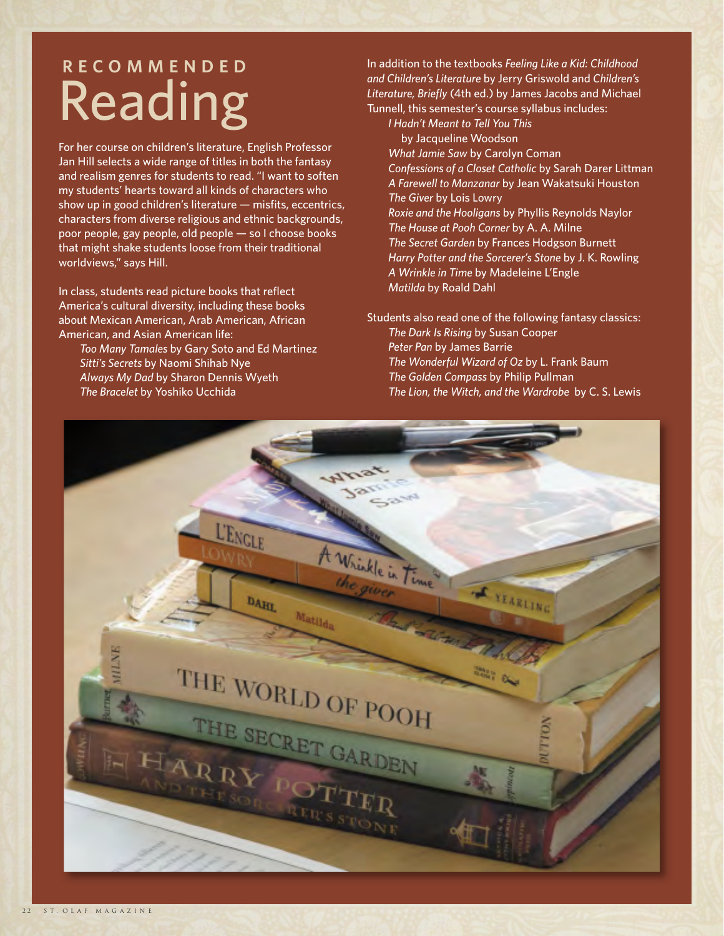## **R E C O M M E N D E D** Reading

For her course on children's literature, English Professor Jan Hill selects a wide range of titles in both the fantasy and realism genres for students to read. "I want to soften my students' hearts toward all kinds of characters who show up in good children's literature — misfits, eccentrics, characters from diverse religious and ethnic backgrounds, poor people, gay people, old people — so I choose books that might shake students loose from their traditional worldviews," says Hill.

In class, students read picture books that reflect America's cultural diversity, including these books about Mexican American, Arab American, African American, and Asian American life:

*Too Many Tamales* by Gary Soto and Ed Martinez *Sitti's Secrets* by Naomi Shihab Nye *Always My Dad* by Sharon Dennis Wyeth *The Bracelet* by Yoshiko Ucchida

In addition to the textbooks *Feeling Like a Kid: Childhood and Children's Literature* by Jerry Griswold and *Children's Literature, Briefly* (4th ed.) by James Jacobs and Michael Tunnell, this semester's course syllabus includes:

*I Hadn't Meant to Tell You This* by Jacqueline Woodson *What Jamie Saw* by Carolyn Coman *Confessions of a Closet Catholic* by Sarah Darer Littman *A Farewell to Manzanar* by Jean Wakatsuki Houston *The Giver* by Lois Lowry *Roxie and the Hooligans* by Phyllis Reynolds Naylor *The House at Pooh Corner* by A. A. Milne *The Secret Garden* by Frances Hodgson Burnett *Harry Potter and the Sorcerer's Stone* by J. K. Rowling *A Wrinkle in Time* by Madeleine L'Engle *Matilda* by Roald Dahl

Students also read one of the following fantasy classics: *The Dark Is Rising* by Susan Cooper *Peter Pan* by James Barrie *The Wonderful Wizard of Oz* by L. Frank Baum *The Golden Compass* by Philip Pullman *The Lion, the Witch, and the Wardrobe* by C. S. Lewis